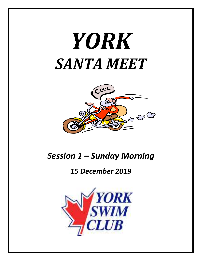# *YORK SANTA MEET*



# *Session 1 – Sunday Morning*

# *15 December 2019*

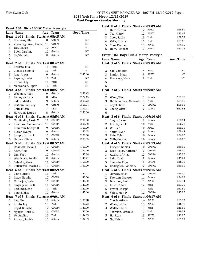# York Swim Club HY-TEK's MEET MANAGER 7.0 - 4:07 PM 12/10/2019 Page 1 **2019 York Santa Meet - 12/15/2019 Meet Program - Sunday Morning**

| Event 101 Girls 100 SC Meter Freestyle |                                       |    |                    |                  |
|----------------------------------------|---------------------------------------|----|--------------------|------------------|
|                                        | <b>Lane Name</b>                      |    | Age Team           | <b>Seed Time</b> |
|                                        | Heat 1 of 8 Finals Starts at 08:45 AM |    |                    |                  |
| 1                                      | Brasseur, Ella                        | 8  | Gators             | NT               |
| 2                                      | Vijayaraghavan, Rachel 10             |    | Gators             | NT               |
| 3                                      | Yao, Louisa                           | 10 | APEX               | NT               |
| $\overline{4}$                         | Book, Caroline                        | 10 | Gators             | NT               |
| 5                                      | Jia, Victoria                         | 8  | Gators             | NT               |
| 6                                      |                                       |    |                    |                  |
|                                        | Heat 2 of 8 Finals Starts at 08:47 AM |    |                    |                  |
| $\mathbf 1$                            | Perketa, Mia                          | 11 | York               | NT               |
| 2                                      | Giancos, Sophia                       | 11 | York               | NT               |
| 3                                      | Jong, Alexis                          | 9  | Gators             | 2:45.66          |
| 4                                      | Payette, Violet                       | 11 | York               | NT               |
| 5                                      | Gibson, Lily                          | 11 | York               | NT               |
| 6                                      | MacDonald, Piper                      | 11 | York               | NT               |
|                                        | Heat 3 of 8 Finals Starts at 08:51 AM |    |                    |                  |
| 1                                      | Wellman, Riley                        | 9  | Gators             | 2:39.43          |
| 2                                      | Fuller, Victoria                      | 8  | <b>NEW</b>         | 2:22.15          |
| 3                                      | Sidhu, Malika                         | 9  | Gators             | 2:08.72          |
| 4                                      | Bertram, Ainsley                      | 9  | Gators             | 2:08.91          |
| 5                                      | Getu, Micah                           | 7  | <b>NEW</b>         | 2:31.71          |
| 6                                      | Harwood, Lauren                       | 8  | Gators             | 2:39.86          |
|                                        | Heat 4 of 8 Finals Starts at 08:54 AM |    |                    |                  |
| 1                                      | Martinello, Alexia V                  | 11 | COBRA              | 2:00.00          |
| 2                                      | Purchase, Samantha E                  | 10 | COBRA              | 2:00.00          |
| 3                                      | Kunuram, Kaitlyn H                    | 9  | COBRA              | 1:50.00          |
| 4                                      | Butler, Evelyn                        | 9  | Gators             | 1:50.63          |
| 5                                      | Joseph, Joanna L                      | 10 | COBRA              | 2:00.00          |
| 6                                      | Hervey, Olivia                        | 9  | Gators             | 2:05.55          |
| Heat                                   | 5 of 8 Finals Starts at 08:57 AM      |    |                    |                  |
| 1                                      | Dhadwar, Jeeya K                      | 12 | COBRA              | 1:50.00          |
| 2                                      | Asim, Aiza                            | 9  | COBRA              | 1:50.00          |
| 3                                      | Lan, Yuet                             | 10 | Gators             | 1:47.88          |
| 4                                      | Woodcock, Emelia                      | 8  | Gators             | 1:48.21          |
| 5                                      | Gabi-Ali, Rhea                        | 11 | COBRA              | 1:50.00          |
| 6                                      | Cutruzzola, Marina G                  | 10 | COBRA              | 1:50.00          |
|                                        | Heat 6 of 8 Finals Starts at 08:59 AM |    |                    |                  |
|                                        | 1 Caine, Brigit 13 York               |    |                    | 1:44.07          |
| 2                                      | Ilciuc, Natalia                       | 10 | COBRA              | 1:40.00          |
| 3                                      | Maharjan, Ipsha                       | 10 | COBRA              | 1:40.00          |
| 4                                      | Singh, Jasmine K                      | 11 | COBRA              | 1:40.00          |
| 5                                      | Kakumba, Zoe                          | 10 | York               | 1:40.79          |
| 6                                      | Pound, Elise                          | 10 | Gators             | 1:45.60          |
| Heat                                   | 7 of 8 Finals                         |    | Starts at 09:01 AM |                  |
| 1                                      | Lan, Shu                              | 11 | Gators             | 1:35.48          |
| 2                                      | Prieto, Lily                          | 10 | York               | 1:32.72          |
| 3                                      | Goyal, Kenisha                        | 12 | COBRA              | 1:30.00          |
| 4                                      | Nguyen, Keira M                       | 11 | COBRA              | 1:30.00          |
| 5                                      | Vo, Adeline                           | 12 | York               | 1:34.65          |
| 6                                      | Amaral, Sophia                        | 10 | Gators             | 1:37.33          |

|                     | Heat 8 of 8 Finals Starts at 09:03 AM    |    |                    |                  |
|---------------------|------------------------------------------|----|--------------------|------------------|
| $\mathbf 1$         | Hum, Sarina                              | 12 | APEX               | 1:26.81          |
| 2                   | Tse, Hilary                              | 12 | APEX               | 1:23.69          |
| 3                   | Cook, Sasha                              |    | 13 York            | 1:20.55          |
| 4                   | Valle, Calista                           | 12 | York               | 1:23.66          |
| 5                   | Choi, Carissa                            | 13 | APEX               | 1:25.85          |
| 6                   | Hum, Rebecca                             | 13 | <b>APEX</b>        | 1:27.27          |
|                     |                                          |    |                    |                  |
|                     | Event 102 Boys 100 SC Meter Freestyle    |    |                    |                  |
|                     | Lane Name                                |    | Age Team           | <b>Seed Time</b> |
|                     | Heat 1 of 6 Finals Starts at 09:05 AM    |    |                    |                  |
| $\mathbf{1}$        |                                          |    |                    |                  |
| 2                   | Yao, Cameron                             | 7  | NEW                | NT               |
| 3                   | Limfat, Ethan                            | 9  | APEX               | NT               |
| 4                   | Bronskyy, Mark                           | 9  | York               | NT               |
| 5                   |                                          |    |                    |                  |
| 6                   |                                          |    |                    |                  |
|                     | Heat 2 of 6 Finals Starts at 09:07 AM    |    |                    |                  |
| 1<br>2              |                                          |    | Gators             | 2:23.38          |
|                     | Wang, Tino                               | 11 | York               | 1:59.16          |
| 3<br>$\overline{4}$ | Hurtado Diaz, Alexande 8<br>Goyal, Krish | 12 | COBRA              | 2:00.00          |
| 5                   | Zhang, Alex                              | 9  | Gators             | 2:32.82          |
| 6                   |                                          |    |                    |                  |
|                     | Heat 3 of 6 Finals Starts at 09:10 AM    |    |                    |                  |
| $\mathbf{1}$        | Smyth, Luke                              | 8  | Gators             | 1:58.64          |
| 2                   | Lee, Jayden M                            | 10 | York               | 1:50.71          |
| 3                   | Wu, Leo                                  | 10 | <b>APEX</b>        | 1:50.10          |
| 4                   | Smith, Ryan                              | 10 | Gators             | 1:50.43          |
| 5                   | Shiu, Tyler                              | 10 | Gators             | 1:56.87          |
| 6                   | Mills, George                            | 10 | Gators             | 1:58.67          |
|                     | Heat 4 of 6 Finals Starts at 09:13 AM    |    |                    |                  |
| 1                   | Fisher, Thomas D                         | 10 | COBRA              | 1:50.00          |
| 2                   | Read-Lajos, Nathan A                     | 9  | COBRA              | 1:46.00          |
| 3                   | Awasthi, Arnav                           | 12 | COBRA              | 1:45.00          |
| 4                   | Safa, Noah                               | 7  | Gators             | 1:45.29          |
| 5                   | Sherwin, Rhys                            | 9  | Gators             | 1:46.31          |
| 6                   | Rodriguez, Robert A                      | 9  | COBRA              | 1:50.00          |
|                     | Heat 5 of 6 Finals Starts at 09:15 AM    |    |                    |                  |
| $\mathbf{1}$        | Nayyar, Krish                            | 12 | COBRA              | 1:40.00          |
| 2                   | Sherwin, Grayson                         | 11 | Gators             | 1:36.08          |
| 3                   | Danailov, Emil                           | 11 | <b>APEX</b>        | 1:27.34          |
| 4                   | Elises, Adam                             | 12 | York               | 1:33.71          |
| 5                   | Powell, Joseph                           | 11 | York               | 1:37.81          |
| 6                   | Volpe, Kian D                            | 12 | COBRA              | 1:45.00          |
| Heat                | 6 of 6 Finals                            |    | Starts at 09:17 AM |                  |
| 1                   | Cho, Matthew                             | 14 | <b>APEX</b>        | 1:21.50          |
| 2                   | Wong, Justin                             | 13 | <b>APEX</b>        | 1:16.91          |
| 3                   | Wallace, Luca                            | 13 | York               | 1:15.61          |
| $\overline{4}$      | Torrejon, Mathew                         | 13 | York               | 1:16.35          |
| 5                   | Ha, Ryan                                 | 13 | APEX               | 1:19.82          |
| 6                   | Ng, Kaleo                                | 11 | <b>APEX</b>        | 1:25.10          |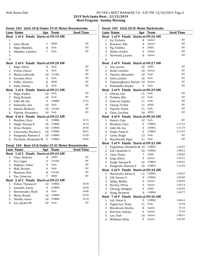## York Swim Club HY-TEK's MEET MANAGER 7.0 - 4:07 PM 12/10/2019 Page 2 **2019 York Santa Meet - 12/15/2019**

**Meet Program - Sunday Morning**

|                | Event 103 Girls 10 & Under 25 SC Meter Breaststroke |    |                 |                  |  |  |
|----------------|-----------------------------------------------------|----|-----------------|------------------|--|--|
|                | <b>Lane Name</b>                                    |    | Age Team        | <b>Seed Time</b> |  |  |
|                | Heat 1 of 4 Finals Starts at 09:19 AM               |    |                 |                  |  |  |
| $\mathbf{1}$   |                                                     |    |                 |                  |  |  |
| 2              | Getu, Micah                                         | 7  | NEW             | NT               |  |  |
| 3              | Rego, Madelyn                                       | 8  | York            | NT               |  |  |
| 4              | Akpabio, Catalina                                   | 7  | York            | NT               |  |  |
| 5              |                                                     |    |                 |                  |  |  |
| 6              |                                                     |    |                 |                  |  |  |
|                | Heat 2 of 4 Finals Starts at 09:20 AM               |    |                 |                  |  |  |
| 1              | Rego, Olivia                                        | 8  | York            | NT               |  |  |
| 2              | Prieto, Chiara                                      | 9  | York            | NT               |  |  |
| 3              | Mazin, Gabrielle                                    | 10 | Cricket         | NT               |  |  |
| $\overline{4}$ | Serzane, Hera                                       | 9  | York            | NT               |  |  |
| 5              | Fuller, Victoria                                    | 8  | <b>NEW</b>      | NT               |  |  |
| 6              | Sotto, Emmy                                         | 8  | York            | NT               |  |  |
|                | Heat 3 of 4 Finals Starts at 09:21 AM               |    |                 |                  |  |  |
| $\mathbf{1}$   | Rego, Sophia                                        | 10 | York            | NT               |  |  |
| 2              | King, Hannah                                        | 10 | York            | NT               |  |  |
| 3              | Gabi-Ali, Gia                                       | 9  | COBRA           | 37.51            |  |  |
| 4              | Kakumba, Zoe                                        | 10 | York            | NT<br>NT         |  |  |
| 5              | Spivak, Madison                                     | 10 | Cricket<br>York | NT               |  |  |
| 6              | Payette, Alexandra                                  | 10 |                 |                  |  |  |
|                | Heat 4 of 4 Finals Starts at 09:22 AM               | 9  | COBRA           | 33.71            |  |  |
| 1<br>2         | Moulton, Clara                                      | 10 | COBRA           | 32.23            |  |  |
| 3              | Singh, Samaya R<br>Ilciuc, Natalia                  | 10 | COBRA           | 29.58            |  |  |
| $\overline{4}$ | Cutruzzola, Marina G                                | 10 | COBRA           | 30.21            |  |  |
| 5              | Rangwala, Rameez S                                  | 10 | COBRA           | 33.20            |  |  |
| 6              | Purchase, Alexandra M                               | 9  | COBRA           | 36.86            |  |  |
|                |                                                     |    |                 |                  |  |  |
|                | Event 104 Boys 10 & Under 25 SC Meter Breaststroke  |    |                 |                  |  |  |
|                | Lane Name                                           |    | Age Team        | <b>Seed Time</b> |  |  |
|                | Heat 1 of 2 Finals Starts at 09:24 AM               |    |                 |                  |  |  |
| 1              | Chan, Hadrian                                       | 8  | <b>APEX</b>     | NT               |  |  |
| 2              | Siu, Logan                                          | 9  | Cricket         | NT               |  |  |
| 3              | Rojkjaer, Asher                                     | 9  | York            | NT               |  |  |
| 4              | Mak, Nicolas                                        | 9  | York            | NT               |  |  |
| 5              | Mansoor, Ben                                        | 8  | Cricket         | NT               |  |  |
| 6              | Yao, Cameron                                        | 7  | NEW             | NT               |  |  |
|                | Heat 2 of 2 Finals Starts at 09:25 AM               |    |                 |                  |  |  |
| 1              | Fisher, Thomas D                                    | 10 | COBRA           | 39.78            |  |  |
| 2              | Awasthi, Aaron                                      | 9  | COBRA           | 34.69            |  |  |
| 3              | Berezenskyi, Mark                                   | 9  | York            | 26.80            |  |  |
| $\overline{4}$ | Mann, Ronak                                         | 10 | COBRA           | 33.59            |  |  |
| 5              | Daudia, Aarav                                       | 10 | COBRA           | 35.18            |  |  |
| 6              | Lee, Jayden M                                       | 10 | York            | NT               |  |  |
|                |                                                     |    |                 |                  |  |  |

# Event 105 Girls 50 SC Meter Backstroke

|                | <u>Lane Name</u>                      |    | Age Team    | <u>Seed Time</u> |
|----------------|---------------------------------------|----|-------------|------------------|
|                | Heat 1 of 9 Finals Starts at 09:26 AM |    |             |                  |
| 1              | Jia, Victoria                         | 8  | Gators      | NT               |
| 2              | Brasseur, Ella                        | 8  | Gators      | NT               |
| 3              | Ng, Tabitha                           | 9  | APEX        | NT               |
| $\overline{4}$ | Butler, Evelyn                        | 9  | Gators      | NT               |
| 5              | Harwood, Lauren                       | 8  | Gators      | NT               |
| 6              |                                       |    |             |                  |
|                | Heat 2 of 9 Finals Starts at 09:27 AM |    |             |                  |
| 1              | Yao, Louisa                           | 10 | <b>APEX</b> | NT               |
| 2              | Book, Caroline                        | 10 | Gators      | NT               |
| 3              | Payette, Alexandra                    | 10 | York        | NT               |
| 4              | Sotto, Justine                        | 10 | York        | NT               |
| 5              | Vijayaraghavan, Rachel                | 10 | Gators      | NT               |
| 6              | Nakanyike, Kaylyn                     | 9  | York        | NT               |
|                | Heat 3 of 9 Finals Starts at 09:29 AM |    |             |                  |
| 1              | Gibson, Lily                          | 11 | York        | NT               |
| 2              | Perketa, Mia                          | 11 | York        | NT               |
| 3              | Giancos, Sophia                       | 11 | York        | NT               |
| $\overline{4}$ | Chung, Trinity                        | 11 | APEX        | NT               |
| 5              | Payette, Violet                       | 11 | York        | NT               |
| 6              | Chan, Caroline                        | 10 | <b>APEX</b> | NT               |
|                | Heat 4 of 9 Finals Starts at 09:30 AM |    |             |                  |
| 1              | Rovers, Caja                          | 12 | York        | NT               |
| $\overline{2}$ | Moulton, Clara                        | 9  | COBRA       | 1:17.32          |
| 3              | Gabi-Ali, Gia                         | 9  | COBRA       | 1:11.79          |
| 4              | Volpe, Fiona O                        | 9  | COBRA       | 1:12.62          |
| 5              | Caine, Brigit                         | 13 | York        | NT               |
| 6              | MacDonald, Piper                      | 11 | York        | NT               |
| Heat           | 5 of 9 Finals Starts at 09:32 AM      |    |             |                  |
| 1              | Pagtakhan, Elizabeth M 10             |    | COBRA       | 1:10.01          |
| 2              | Gill, Claudette O                     | 10 | COBRA       | 1:08.32          |
| 3              | Chan, Venus                           | 7  | APEX        | 1:05.85          |
| 4              | Jong, Alexis                          | 9  | Gators      | 1:07.51          |
| 5              | Singh, Samaya R                       | 10 | COBRA       | 1:09.02          |
| 6              | Rangwala, Rameez S                    | 10 | COBRA       | 1:11.09          |
|                | Heat 6 of 9 Finals Starts at 09:34 AM |    |             |                  |
| 1              | Martinello, Alexia V                  | 11 | COBRA       | 1:04.07          |
|                | 2 Gill, Serene G                      | 9  | COBRA       | 1:03.89          |
| 3              | Sidhu, Malika                         | 9  | Gators      | 1:02.04          |
| 4              | Hervey, Olivia                        | 9  | Gators      | 1:03.14          |
| 5              | Cheung, Abbigail                      | 9  | APEX        | 1:03.95          |
| 6              | Hong, Shannon                         | 9  | COBRA       | 1:05.77          |
| Heat           | 7 of 9 Finals Starts at 09:36 AM      |    |             |                  |
| 1              | Litt, Simar K                         | 9  | COBRA       | 1:00.63          |
| 2              | Tagliarino, Tessa                     | 11 | York        | 57.90            |
| 3              | Woodcock, Emelia                      | 8  | Gators      | 57.33            |
| $\overline{4}$ | Bertram, Ainsley                      | 9  | Gators      | 57.63            |
| 5              | Lan, Yuet                             | 10 | Gators      | 1:00.31          |
| 6              | Wellman, Riley                        | 9  | Gators      | 1:01.83          |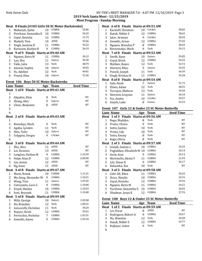# York Swim Club HY-TEK's MEET MANAGER 7.0 - 4:07 PM 12/10/2019 Page 3

**2019 York Santa Meet - 12/15/2019 Meet Program - Sunday Morning** 

|                                                                                           | Heat 8 Finals (#105 Girls 50 SC Meter Backstroke) |                |             |         |  |  |
|-------------------------------------------------------------------------------------------|---------------------------------------------------|----------------|-------------|---------|--|--|
| 1                                                                                         | Maharjan, Ipsha                                   | 10             | COBRA       | 55.86   |  |  |
| 2                                                                                         | Purchase, Samantha E                              | 10             | COBRA       | 54.32   |  |  |
| 3                                                                                         | Goyal, Kenisha                                    | 12             | COBRA       | 51.73   |  |  |
| 4                                                                                         | Madadi, Tara                                      | 10             | APEX        | 53.66   |  |  |
| 5                                                                                         | Singh, Jasmine K                                  | 11             | COBRA       | 55.23   |  |  |
| 6                                                                                         | Kunuram, Kaitlyn H                                | 9              | COBRA       | 56.19   |  |  |
|                                                                                           | Heat 9 of 9 Finals Starts at 09:40 AM             |                |             |         |  |  |
| 1                                                                                         | Nguyen, Keira M                                   | 11             | COBRA       | 50.12   |  |  |
| 2                                                                                         | Lan, Shu                                          | 11             | Gators      | 49.30   |  |  |
| 3                                                                                         | Valle, Julia                                      | 13             | York        | 48.79   |  |  |
| 4                                                                                         | Amaral, Sophia                                    | 10             | Gators      | 49.03   |  |  |
| 5                                                                                         | Vo, Adeline                                       | 12             | York        | 49.81   |  |  |
| 6                                                                                         | Pound, Elise                                      | 10             | Gators      | 51.56   |  |  |
|                                                                                           |                                                   |                |             |         |  |  |
| Event 106 Boys 50 SC Meter Backstroke<br><b>Seed Time</b><br><b>Lane Name</b><br>Age Team |                                                   |                |             |         |  |  |
|                                                                                           | Heat 1 of 8 Finals Starts at 09:41 AM             |                |             |         |  |  |
| $\mathbf{1}$                                                                              |                                                   |                |             |         |  |  |
| $\overline{c}$                                                                            | Akpabio, Elias                                    | 8              | York        | NT      |  |  |
| 3                                                                                         | Zhang, Alex                                       | 9              | Gators      | NT      |  |  |
| 4                                                                                         | Chow, Benjamin                                    | 8              | APEX        | NT      |  |  |
| 5                                                                                         |                                                   |                |             |         |  |  |
| 6                                                                                         |                                                   |                |             |         |  |  |
|                                                                                           | Heat 2 of 8 Finals Starts at 09:43 AM             |                |             |         |  |  |
| 1                                                                                         |                                                   |                |             |         |  |  |
| $\overline{c}$                                                                            | Bronskyy, Mark                                    | 9              | York        | NT      |  |  |
| 3                                                                                         | Agaba, Lynden                                     | 11             | York        | NT      |  |  |
| 4                                                                                         | Shiu, Tyler                                       | 10             | Gators      | NT      |  |  |
| 5                                                                                         | Golygina, Sergey                                  | 9              | Cricket     | NΤ      |  |  |
| 6                                                                                         |                                                   |                |             |         |  |  |
|                                                                                           | Heat 3 of 8 Finals Starts at 09:44 AM             |                |             |         |  |  |
| $\mathbf{1}$                                                                              | Zhu, Alex                                         | 11             | <b>APEX</b> | NT      |  |  |
| 2                                                                                         | Lai, Dominic                                      | 13             | <b>APEX</b> | NT      |  |  |
| 3                                                                                         | Langlois, Nathan M                                | 9              | COBRA       | 1:15.59 |  |  |
| 4                                                                                         | Volpe, Kian D                                     | 12             | COBRA       | 2:00.00 |  |  |
| 5                                                                                         | Lin, Aaron                                        | 12             | <b>APEX</b> | NT      |  |  |
| 6                                                                                         | Ng, Isaac                                         | 11             | <b>APEX</b> | NT      |  |  |
|                                                                                           | Heat 4 of 8 Finals Starts at 09:47 AM             |                |             |         |  |  |
| $\mathbf{1}$                                                                              | Mann, Ronak                                       | 10             | COBRA       | 1:11.21 |  |  |
| $\overline{c}$                                                                            | Mu-Song, Alexander W                              | 9              | COBRA       | 1:10.21 |  |  |
| 3                                                                                         | Wang, Tino                                        | 11             | Gators      | 1:07.45 |  |  |
| $\overline{\mathbf{4}}$                                                                   | Cutruzzola, Luca G                                | 9              | COBRA       | 1:10.00 |  |  |
| 5                                                                                         | Sirpal, Shailan                                   | 10             | COBRA       | 1:10.53 |  |  |
| 6                                                                                         | Soni, Reyansh                                     | 11             | COBRA       | 1:15.00 |  |  |
| Heat                                                                                      | 5 of 8 Finals Starts at 09:49 AM                  |                |             |         |  |  |
| $\mathbf{1}$                                                                              | Mills, George                                     | 10             | Gators      | 1:02.68 |  |  |
| $\overline{c}$                                                                            | Ho, Brandon                                       | 12             | York        | 1:00.31 |  |  |
| 3                                                                                         | Gencarelli, Christian                             | 11             | York        | 59.29   |  |  |
| 4                                                                                         | Nayyar, Krish                                     | 12             | COBRA       | 59.52   |  |  |
| 5                                                                                         | Ferricchio, Nicholas                              | $\overline{7}$ | COBRA       | 1:01.91 |  |  |
| 6                                                                                         | Awasthi, Aaron                                    | 9              | COBRA       | 1:03.34 |  |  |

|              | Heat 6 of 8 Finals Starts at 09:51 AM       |    |         |       |
|--------------|---------------------------------------------|----|---------|-------|
| $\mathbf{1}$ | Karstoff, Christian                         | 10 | Cricket | 58.85 |
| 2            | Kundi, Nikbir S                             | 12 | COBRA   | 58.65 |
| 3            | Jatar, Armaan                               | 9  | Cricket | 56.50 |
| 4            | Awasthi, Arnav                              | 12 | COBRA   | 57.45 |
| 5            | Nguyen, Brendon P                           | 8  | COBRA   | 58.69 |
| 6            | Berezenskyi, Mark                           | 9  | York    | 59.15 |
|              | Heat   7 of 8   Finals   Starts at 09:53 AM |    |         |       |
| 1            | Smith, Ryan                                 | 10 | Gators  | 55.85 |
| 2            | Goyal, Krish                                | 12 | COBRA   | 54.26 |
| 3            | Malikov, Royce                              | 12 | York    | 52.72 |
| 4            | Sherwin, Rhys                               | 9  | Gators  | 53.45 |
| 5            | Powell, Joseph                              | 11 | York    | 54.39 |
| 6            | Singh, Krishan K                            | 11 | COBRA   | 56.28 |
|              | Heat 8 of 8 Finals Starts at 09:54 AM       |    |         |       |
| $\mathbf{1}$ | Safa, Noah                                  | 7  | Gators  | 51.75 |
| 2            | Elises, Adam                                | 12 | York    | 48.55 |
| 3            | Torrejon, Mathew                            | 13 | York    | 39.50 |
| 4            | Sherwin, Grayson                            | 11 | Gators  | 46.10 |
| 5            | Siu, Austin                                 | 10 | Cricket | 49.37 |
| 6            | Smyth, Luke                                 | 8  | Gators  | 52.23 |
|              |                                             |    |         |       |

# Event 107 Girls 12 & Under 25 SC Meter Butterfly

|              | Lane Name                             | Age | <b>Team</b> | <b>Seed Time</b> |
|--------------|---------------------------------------|-----|-------------|------------------|
|              | Heat 1 of 3 Finals Starts at 09:56 AM |     |             |                  |
| 1            | Rego, Madelyn                         | 8   | York        | NT               |
| 2            | Prieto, Chiara                        | 9   | York        | NT               |
| 3            | Sotto, Justine                        | 10  | York        | NT               |
| 4            | Prieto, Lily                          | 10  | York        | <b>NT</b>        |
| 5            | Sotto, Emmy                           | 8   | York        | NT               |
| 6            | Rego, Olivia                          | 8   | York        | NT               |
|              | Heat 2 of 3 Finals Starts at 09:57 AM |     |             |                  |
| $\mathbf{1}$ | Joseph, Joanna L                      | 10  | COBRA       | 35.25            |
| 2            | Pagtakhan, Elizabeth M 10             |     | COBRA       | 33.14            |
| 3            | Asim, Aiza                            | 9   | COBRA       | 29.14            |
| 4            | Martinello, Alexia V                  | 11  | COBRA       | 31.99            |
| 5            | Litt, Simar K                         | 9   | COBRA       | 34.17            |
| 6            | Kakumba, Zoe                          | 10  | York        | NT               |
|              | Heat 3 of 3 Finals Starts at 09:58 AM |     |             |                  |
| 1            | Gabi-Ali, Rhea                        | 11  | COBRA       | 26.35            |
| 2            | Ilciuc, Natalia                       | 10  | COBRA       | 24.76            |
| 3            | Goyal, Kenisha                        | 12  | COBRA       | 19.92            |
| 4            | Nguyen, Keira M                       | 11  | COBRA       | 24.21            |
| 5            | Purchase, Samantha E                  | 10  | COBRA       | 26.02            |
| 6            | Dhadwar, Jeeya K                      | 12  | COBRA       | 27.76            |

# Event 108 Boys 12 & Under 25 SC Meter Butterfly

|   | Lane Name                             | Age | Team  | <b>Seed Time</b> |
|---|---------------------------------------|-----|-------|------------------|
|   | Heat 1 of 2 Finals Starts at 09:59 AM |     |       |                  |
|   | Lei, Oscar                            |     | APEX  | NT               |
|   | Rodriguez, Robert A                   | q   | COBRA | 34.57            |
|   | Ho. Brandon                           |     | York  | 32.48            |
| 4 | Kundi, Nikbir S                       | 12  | COBRA | 33.77            |
| 5 | Rojkjaer, Asher                       | q   | York  | NT               |
| 6 |                                       |     |       |                  |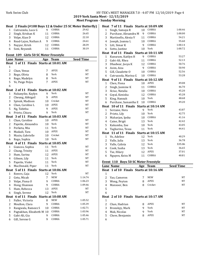**2019 York Santa Meet - 12/15/2019 Meet Program - Sunday Morning** 

# Heat 2 Finals (#108 Boys 12 & Under 25 SC Meter Butterfly)

| 1 Cutruzzola, Luca G   |    | COBRA | 29.42 |
|------------------------|----|-------|-------|
| 2 Singh, Krishan K     |    | COBRA | 26.65 |
| 3 Volpe, Kian D        | 12 | COBRA | 22.10 |
| 4 Read-Lajos, Nathan A | q  | COBRA | 24.61 |
| 5 Nayyar, Krish        | 12 | COBRA | 28.39 |
| 6 Soni, Reyansh        |    | COBRA | 30.19 |

# **Event 109 Girls 50 SC Meter Freestyle**

|                | <b>Lane Name</b>                       |    | Age Team           | <b>Seed Time</b> |
|----------------|----------------------------------------|----|--------------------|------------------|
| Heat           | 1 of 11 Finals Starts at 10:01 AM      |    |                    |                  |
| $\mathbf 1$    |                                        |    |                    |                  |
| 2              | Chan, Venus                            | 7  | <b>APEX</b>        | NT               |
| 3              | Rego, Olivia                           | 8  | York               | NT               |
| 4              | Rego, Madelyn                          | 8  | York               | NΤ               |
| 5              | Ye, Paige Peiyu                        | 7  | <b>APEX</b>        | NT               |
| 6              |                                        |    |                    |                  |
|                | Heat 2 of 11 Finals Starts at 10:02 AM |    |                    |                  |
| 1              | Nakanyike, Kaylyn                      | 9  | York               | NT               |
| $\overline{c}$ | Cheung, Abbigail                       | 9  | <b>APEX</b>        | NT               |
| 3              | Spivak, Madison                        | 10 | Cricket            | NΤ               |
| 4              | Chan, Caroline L                       | 10 | <b>APEX</b>        | NT               |
| 5              | Ng, Tabitha                            | 9  | <b>APEX</b>        | NT               |
| 6              | Prieto, Chiara                         | 9  | York               | NΤ               |
|                | Heat 3 of 11 Finals Starts at 10:03 AM |    |                    |                  |
| 1              | Chan, Caroline                         | 10 | <b>APEX</b>        | NT               |
| $\overline{2}$ | Payette, Alexandra                     | 10 | York               | NT               |
| 3              | Perketa, Mia                           | 11 | York               | NT               |
| 4              | Madadi, Tara                           | 10 | <b>APEX</b>        | NT               |
| 5              | Mazin. Gabrielle                       | 10 | Cricket            | NT               |
| 6              | Rego, Sophia                           | 10 | York               | NT               |
|                | Heat 4 of 11 Finals                    |    | Starts at 10:05 AM |                  |
| 1              | Giancos, Sophia                        | 11 | York               | NT               |
| 2              | Chung, Trinity                         | 11 | <b>APEX</b>        | NT               |
| 3              | Hum, Sarina                            | 12 | <b>APEX</b>        | NT               |
| 4              | Gibson, Lily                           | 11 | York               | NT               |
| 5              | Payette, Violet                        | 11 | York               | NT               |
| 6              | MacDonald, Piper                       | 11 | York               | NT               |
|                | Heat 5 of 11 Finals Starts at 10:06 AM |    |                    |                  |
| $\mathbf{1}$   | Rovers, Caja                           | 12 | York               | NT               |
| 2              | Getu, Micah                            | 7  | <b>NEW</b>         | 1:14.74          |
| 3              | Volpe, Fiona O                         | 9  | COBRA              | 1:06.23          |
| 4              | Hong, Shannon                          | 9  | COBRA              | 1:09.46          |
| 5              | Hum, Rebecca                           | 13 | <b>APEX</b>        | NT               |
| 6              | Singh, Serene                          | 12 | York               | NT               |
|                | Heat 6 of 11 Finals Starts at 10:08 AM |    |                    |                  |
| 1              | Fuller, Victoria                       | 8  | <b>NEW</b>         | 1:05.52          |
| 2              | Moulton, Clara                         | 9  | COBRA              | 1:05.39          |
| 3              | Rangwala, Rameez S                     | 10 | COBRA              | 1:02.71          |
| 4              | Pagtakhan, Elizabeth M                 | 10 | COBRA              | 1:03.96          |
| 5              | Gabi-Ali, Gia                          | 9  | COBRA              | 1:05.46          |
| 6              | Gill, Serene G                         | 9  | COBRA              | 1:05.71          |

|                | Heat 7 of 11 Finals Starts at 10:09 AM                     |     |                  |                  |
|----------------|------------------------------------------------------------|-----|------------------|------------------|
| $\mathbf{1}$   | Singh, Samaya R                                            | 10  | COBRA            | 1:00.46          |
| $\overline{2}$ | Purchase, Alexandra M                                      | 9   | COBRA            | 1:00.00          |
| 3              | Martinello, Alexia V                                       | 11  | COBRA            | 54.21            |
| 4              | Joseph, Joanna L                                           | 10  | COBRA            | 55.60            |
| 5              | Litt, Simar K                                              | 9   | COBRA            | 1:00.14          |
| 6              | Sotto, Justine                                             | 10  | York             | 1:00.72          |
|                | Heat 8 of 11 Finals Starts at 10:11 AM                     |     |                  |                  |
| $\mathbf{1}$   | Kunuram, Kaitlyn H                                         | 9   | COBRA            | 53.27            |
| $\overline{c}$ | Gabi-Ali, Rhea                                             | 11  | COBRA            | 52.13            |
| 3              | Dhadwar, Jeeya K                                           | 12  | COBRA            | 50.76            |
| 4              | Asim, Aiza                                                 | 9   | COBRA            | 50.90            |
| 5              | Gill, Claudette O                                          | 10  | COBRA            | 52.56            |
| 6              | Cutruzzola, Marina G                                       | 10  | COBRA            | 53.28            |
|                | Heat 9 of 11 Finals Starts at 10:12 AM                     |     |                  |                  |
| 1              | Chen, Fiona                                                | 10  | <b>APEX</b>      | 49.08            |
| $\overline{c}$ | Singh, Jasmine K                                           | 11  | COBRA            | 46.70            |
| 3              | Ilciuc, Natalia                                            | 10  | COBRA            | 45.20            |
| $\overline{4}$ | Goyal, Kenisha                                             | 12  | COBRA            | 45.28            |
| 5              | King, Hannah                                               | 10  | York             | 48.68            |
| 6              | Purchase, Samantha E                                       | 10  | COBRA            | 49.20            |
| Heat           | 10 of 11 Finals Starts at 10:14 AM                         |     |                  |                  |
| $\mathbf{1}$   | Serzane, Hera                                              | 9   | York             | 43.87            |
| $\overline{2}$ | Prieto, Lily                                               | 10  | York             | 42.75            |
| 3              | Maharjan, Ipsha                                            | 10  | COBRA            | 41.16            |
| $\overline{4}$ | Caine, Brigit                                              | 13  | York             | 42.42            |
| 5              | Kakumba, Zoe                                               | 10  | York             | 43.05            |
| 6              | Tagliarino, Tessa                                          | 11  | York             | 44.41            |
|                | Heat 11 of 11 Finals Starts at 10:15 AM                    |     |                  |                  |
| $\mathbf{1}$   | Vo, Adeline                                                | 12  | York             | 40.29            |
| $\overline{c}$ | Valle, Julia                                               | 13  | York             | 36.78            |
| 3              | Valle, Calista                                             | 12  | York             | X35.86           |
| 4              | Cook, Sasha                                                | 13  | York             | 36.65            |
| 5              | Tse, Hilary                                                | 12  | <b>APEX</b>      | 37.01            |
| 6              | Nguyen, Keira M                                            | 11  | COBRA            | 40.81            |
|                | Event 110 Boys 50 SC Meter Freestyle                       |     |                  |                  |
|                |                                                            |     |                  |                  |
|                | <b>Lane Name</b><br>$0.40 \text{ m}$<br>$\mathbf{L}$<br>o. | Age | <b>Team</b><br>- | <b>Seed Time</b> |

|   | Heat 1 of 10 Finals Starts at 10:16 AM |   |             |    |
|---|----------------------------------------|---|-------------|----|
| 1 |                                        |   |             |    |
| 2 | Yao, Cameron                           | 7 | <b>NEW</b>  | NT |
| 3 | Wong, Peyton                           | 8 | APEX        | NT |
| 4 | Mansoor, Ben                           | 8 | Cricket     | NT |
| 5 |                                        |   |             |    |
| 6 |                                        |   |             |    |
|   | Heat 2 of 10 Finals Starts at 10:17 AM |   |             |    |
| 1 |                                        |   |             |    |
| 2 | Chan, Hadrian                          | 8 | <b>APEX</b> | NT |
| 3 | Bronskyy, Mark                         | 9 | York        | NT |
| 4 | Mak, Nicolas                           | 9 | York        | NT |
| 5 | Chow, Benjamin                         | 8 | <b>APEX</b> | NT |
| 6 |                                        |   |             |    |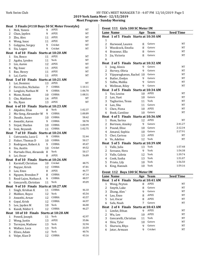**2019 York Santa Meet - 12/15/2019 Meet Program - Sunday Morning**

|                |                                         |          | Heat 3 Finals (#110 Boys 50 SC Meter Freestyle) |                |
|----------------|-----------------------------------------|----------|-------------------------------------------------|----------------|
| 1              | Mok, Yannis                             | 9        | APEX                                            | NT             |
| 2              | Chan, Jayden                            | 9        | APEX                                            | NT             |
| 3              | Zhu, Alex                               | 11       | <b>APEX</b>                                     | NT             |
| $\overline{4}$ | Wong, Isaac                             | 11       | <b>APEX</b>                                     | NT             |
| 5              | Golygina, Sergey                        | 9        | Cricket                                         | NT             |
| 6              | Siu, Logan                              | 9        | Cricket                                         | NT             |
|                | Heat 4 of 10 Finals Starts at 10:20 AM  |          |                                                 |                |
| 1              | Sin, Bosco                              | 11       | <b>APEX</b>                                     | NT             |
| 2              | Agaba, Lynden                           | 11       | York                                            | NT             |
| 3              | Lin, Aaron                              | 12       | <b>APEX</b>                                     | NT             |
| 4              | Ng, Isaac                               | 11       | <b>APEX</b>                                     | NT             |
| 5              | Bao, Henry                              | 11       | <b>APEX</b>                                     | NΤ             |
| 6              | Lai, Curtis                             | 11       | <b>APEX</b>                                     | NT             |
|                | Heat 5 of 10 Finals Starts at 10:21 AM  |          |                                                 |                |
| $\mathbf 1$    | Lai, Dominic                            | 13       | <b>APEX</b>                                     | NT             |
| 2              | Ferricchio, Nicholas                    | 7        | COBRA                                           | 1:10.11        |
| 3              | Langlois, Nathan M                      | 9        | COBRA                                           | 1:06.70        |
| $\overline{4}$ | Mann, Ronak                             | 10       | COBRA                                           | 1:08.31        |
| 5              | Cho, Matthew                            | 14       | <b>APEX</b>                                     | NT             |
| 6              | Ha, Ryan                                | 13       | <b>APEX</b>                                     | NT             |
|                | Heat 6 of 10 Finals Starts at 10:23 AM  |          |                                                 |                |
| $\mathbf{1}$   | Akpabio, Elias                          | 8        | York                                            | 1:02.37        |
| 2              | Mu-Song, Alexander W                    | 9        | COBRA                                           | 1:00.89        |
| 3              | Daudia, Aarav                           | 10       | COBRA                                           | 58.42          |
| 4              | Awasthi, Aaron                          | 9        | COBRA                                           | 58.78          |
| 5              | Sirpal, Shailan                         | 10       | COBRA                                           | 1:00.99        |
| 6              | Soni, Reyansh                           | 11       | COBRA                                           | 1:02.75        |
|                | Heat 7 of 10 Finals Starts at 10:24 AM  |          |                                                 |                |
|                |                                         |          |                                                 |                |
| 1              | Cutruzzola, Luca G                      | 9        | COBRA                                           | 52.44          |
| 2              | Fisher, Thomas D                        | 10       | COBRA                                           | 50.17          |
| 3              | Rodriguez, Robert A                     | 9        | COBRA                                           | 49.47          |
| $\overline{4}$ | Siu, Austin                             | 10       | Cricket                                         | 49.52          |
| 5              | Hurtado Diaz, Alexande                  | 8        | York                                            | 50.17          |
| 6              | Lei, Oscar                              | 8        | <b>APEX</b>                                     | 56.89          |
|                | Heat 8 of 10 Finals Starts at 10:26 AM  |          |                                                 |                |
| 1              | Karstoff, Christian                     | 10       | Cricket                                         | 48.75          |
| $\overline{c}$ | Nayyar, Krish                           | 12       | COBRA                                           | 47.81          |
| 3              | Lau, Enzo                               |          | 8 APEX                                          | 46.77          |
| 4              | Nguyen, Brendon P                       | 8        | COBRA                                           | 47.14          |
| 5              | Read-Lajos, Nathan A                    | 9        | COBRA                                           | 48.57          |
| 6              | Gencarelli, Christian                   | 11       | York                                            | 49.09          |
| Heat           | 9 of 10 Finals Starts at 10:27 AM       |          |                                                 |                |
| $\mathbf 1$    | Singh, Krishan K                        | 11       | COBRA                                           | 46.10          |
| $\overline{c}$ | Malikov, Royce                          | 12       | York                                            | 45.54          |
| 3              | Awasthi, Arnav                          | 12       | COBRA                                           | 43.57          |
| 4              | Goyal, Krish                            | 12       | COBRA                                           | 44.97          |
| 5              | Lee, Jayden M                           | 10       | York                                            | 46.00          |
| 6              | Kundi, Nikbir S                         | 12       | COBRA                                           | 46.27          |
|                | Heat 10 of 10 Finals Starts at 10:28 AM |          |                                                 |                |
| $\mathbf 1$    | Powell, Joseph                          | 11       | York                                            | 42.97          |
| $\overline{c}$ | Wong, Justin                            | 13       | APEX                                            | 35.86          |
| 3              | Torrejon, Mathew                        | 13       | York                                            | 32.94          |
| 4              | Wallace, Luca                           | 13       | York                                            | 33.59          |
| 5<br>6         | Elises, Adam<br>Volpe, Kian D           | 12<br>12 | York<br>COBRA                                   | 40.76<br>43.16 |

|              | Event 111 Girls 100 SC Meter IM       |     |             |                  |
|--------------|---------------------------------------|-----|-------------|------------------|
|              | <b>Lane Name</b>                      |     | Age Team    | <b>Seed Time</b> |
|              | Heat 1 of 5 Finals Starts at 10:30 AM |     |             |                  |
| 1            |                                       |     |             |                  |
| 2            | Harwood, Lauren                       | 8   | Gators      | <b>NT</b>        |
| 3            | Woodcock, Emelia                      | 8   | Gators      | NT               |
| 4            | Brasseur, Ella                        | 8   | Gators      | NT               |
| 5            | Jia, Victoria                         | 8   | Gators      | NT               |
| 6            |                                       |     |             |                  |
|              | Heat 2 of 5 Finals Starts at 10:32 AM |     |             |                  |
| $\mathbf{1}$ | Jong, Alexis                          | 9   | Gators      | NT               |
| 2            | Hervey, Olivia                        | 9   | Gators      | NT               |
| 3            | Vijayaraghavan, Rachel 10             |     | Gators      | NT               |
| 4            | Butler, Evelyn                        | 9   | Gators      | NT               |
| 5            | Sidhu, Malika                         | 9   | Gators      | NT               |
| 6            | Wellman, Riley                        | 9   | Gators      | NT               |
|              | Heat 3 of 5 Finals Starts at 10:34 AM |     |             |                  |
| 1            | Yao, Louisa                           | 10  | <b>APEX</b> | <b>NT</b>        |
| 2            | Lan, Yuet                             | 10  | Gators      | <b>NT</b>        |
| 3            | Tagliarino, Tessa                     | 11  | York        | NT               |
| 4            | Lan, Shu                              | 11  | Gators      | <b>NT</b>        |
| 5            | Chen, Fiona                           | 10  | <b>APEX</b> | <b>NT</b>        |
| 6            | Book, Caroline                        | 10  | Gators      | NT               |
|              | Heat 4 of 5 Finals Starts at 10:36 AM |     |             |                  |
| 1            | Hum, Sarina                           | 12  | <b>APEX</b> | NT               |
| 2            | Bertram, Ainsley                      | 9   | Gators      | 2:41.27          |
| 3            | Pound, Elise                          | 10  | Gators      | 2:12.34          |
| 4            | Amaral, Sophia                        | 10  | Gators      | 2:17.91          |
| 5            | Choi, Carissa                         | 13  | APEX        | NT               |
| 6            | Vo, Adeline                           | 12  | York        | <b>NT</b>        |
|              | Heat 5 of 5 Finals Starts at 10:39 AM |     |             |                  |
| 1            | Valle, Julia                          | 13  | York        | 1:57.48          |
| 2            | Serzane, Hera                         | 9   | York        | 1:54.38          |
| 3            | Valle, Calista                        | 12  | York        | 1:39.74          |
| 4            | Cook, Sasha                           | 13  | York        | 1:51.07          |
| 5            | Prieto, Lily                          | 10  | York        | 1:56.50          |
| 6            | King, Hannah                          | 10  | York        | 1:59.16          |
|              |                                       |     |             |                  |
|              | Event 112 Boys 100 SC Meter IM        |     |             |                  |
|              | Lane Name                             | Age | <b>Team</b> | <b>Seed Time</b> |
|              | Heat 1 of 4 Finals Starts at 10:41 AM |     |             |                  |
| 1            | Wong, Peyton                          | 8   | APEX        | NT               |
| 2            | Smyth, Luke                           | 8   | Gators      | NT               |
| 3            | Zhang, Alex                           | 9   | Gators      | NT               |
| 4            | Lau, Enzo                             | 8   | <b>APEX</b> | NT               |
| 5            | Lei, Oscar                            | 8   | <b>APEX</b> | NT               |
| 6            | Safa, Noah                            | 7   | Gators      | NT               |
|              | Heat 2 of 4 Finals Starts at 10:43 AM |     |             |                  |
| 1            | Limfat, Ethan                         | 9   | <b>APEX</b> | NT               |
|              | Wu, Leo                               | 10  | APEX        | NT               |
| 2            |                                       |     |             | NT               |
| 3            | Gencarelli, Christian                 | 11  | York        |                  |
| 4            | Shiu, Tyler                           | 10  | Gators      | NT               |
| 5            | Sherwin, Rhys                         | 9   | Gators      | NT               |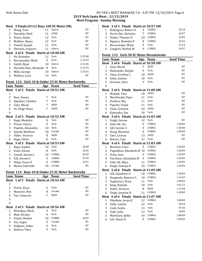### York Swim Club **HY-TEK's MEET MANAGER 7.0 - 4:07 PM 12/10/2019** Page 6 **2019 York Santa Meet - 12/15/2019 Meet Program - Sunday Morning**

Heat 3 Finals (#112 Boys 100 SC Meter IM) 1 Wang, Tino 11 Gators NT<br>2 Danailov Emil 11 APEX NT 2 Danailov, Emil 11 3 Elises. Adam 12 York NT 4 Malikov, Royce 12 York NT 5 Powell, Joseph 11 York NT 6 Sherwin, Grayson 11 Gators NT Heat 4 of 4 Finals Starts at 10:48 AM 1 Ho, Brandon 12 York 2:23.98<br>2 Berezenskvi Mark 9 York 2:15.43 2 Berezenskyi, Mark 9 York 2:15.43<br>3 Smith Ryan 10 Gators 2:11.66 3 Smith, Ryan 10 Gators 4 Hurtado Diaz, Alexande 8 York 2:13.19<br>5 Mills George 10 Gators 2:23.61 5 Mills, George 10 Gators 2:23.61<br>6 Wallace Luca 13 York NT 6 Wallace, Luca 13 York Event 113 Girls 10 & Under 25 SC Meter Backstroke **Lane Name Age Team Seed Time** Heat 1 of 3 Finals Starts at 10:51 AM 1 2 Best, Emma 7 York NT 3 Akpabio, Catalina 7 York NT 4 Getu, Micah 7 NEW NT 5 Ye, Paige Peiyu 7 APEX NT 6 **Heat** 2 of 3 **Finals** Starts at  $10:52$  AM<br>1 Rego Madelyn 8 York 1 Rego, Madelyn 8 York 1987 NT<br>2 Prieto Chiara 19 York 19 NT 2 Prieto, Chiara 9 3 Payette, Alexandra 10 York NT 4 Spivak, Madison 10 Cricket 10 NT<br>5 Euller Victoria 18 NEW 10 NT 5 Fuller, Victoria 8 NEW NT 6 Rego, Olivia 8 York NT **Heat**  $3$  of  $3$  **Finals** Starts at  $10:53$  AM 1 Rego, Sophia 10 York 35.68 2 Sotto, Emmy 8 York 32.03<br>3 Ioseph Joanna L 3 10 COBRA 26.45 3 Joseph, Joanna L 10 4 Gill, Serene G 9 COBRA 27.94 5 Volpe, Fiona O 9 COBRA 32.51<br>6 Mazin. Gabrielle 10 Cricket NT 6 Mazin, Gabrielle 10 Event 114 Boys 10 & Under 25 SC Meter Backstroke **Lane Name Age Team Seed Time** Heat 1 of 3 Finals Starts at 10:54 AM 1 2 Prieto, Enzo 5 York NT 3 Mansoor, Ben 8 Cricket NT 4 Yao, Cameron 7 NEW NT 5 6 **Heat** 2 of 3 **Finals Starts at 10:56 AM**<br>1 **Bronskyy Mark** 9 York 1 Bronskyy, Mark 9 York NT 2 Mak, Nicolas 9 9 York 19 NT<br>3 Sirpal Shailan 10 COBRA 36.03 3 Sirpal, Shailan 10 4 Siu, Logan 9 Cricket NT 5 Rojkjaer, Asher 9 York NT 6 Bohren, Theo 9 York NT

#### Heat 3 of 3 Finals Starts at 10:57 AM

|    | Rodriguez, Robert A  | q  | COBRA | 32.18 |
|----|----------------------|----|-------|-------|
| 2  | Ferricchio, Nicholas |    | COBRA | 26.97 |
| 3  | Fisher, Thomas D     | 10 | COBRA | 25.09 |
|    | 4 Nguyen, Brendon P  |    | COBRA | 26.42 |
| 5. | Berezenskyi, Mark    |    | York  | 27.23 |
| 6  | Langlois, Nathan M   |    | COBRA | 34.97 |

#### Event 115 Girls 50 SC Meter Breaststroke

|                | Lane Name                             |    | Age Team           | <b>Seed Time</b> |
|----------------|---------------------------------------|----|--------------------|------------------|
|                | Heat 1 of 6 Finals Starts at 10:58 AM |    |                    |                  |
| $\mathbf 1$    | Getu, Micah                           | 7  | <b>NEW</b>         | NT               |
| $\overline{c}$ | Nakanyike, Kaylyn                     | 9  | York               | NT               |
| 3              | Chan, Caroline L                      | 10 | <b>APEX</b>        | NT               |
| 4              | Sotto, Justine                        | 10 | York               | NT               |
| 5              | Serzane, Hera                         | 9  | York               | NT               |
| 6              |                                       |    |                    |                  |
|                | Heat 2 of 6 Finals Starts at 11:00 AM |    |                    |                  |
| 1              | Madadi, Tara                          | 10 | <b>APEX</b>        | NT               |
| $\overline{c}$ | MacDonald, Piper                      | 11 | York               | NT               |
| 3              | Perketa, Mia                          | 11 | York               | NT               |
| 4              | Payette, Violet                       | 11 | York               | NT               |
| 5              | Chan, Caroline                        | 10 | <b>APEX</b>        | NT               |
| 6              | Kakumba, Zoe                          | 10 | York               | NT               |
|                | Heat 3 of 6 Finals                    |    | Starts at 11:01 AM |                  |
| 1              | Singh, Serene                         | 12 | York               | NΤ               |
| $\overline{c}$ | Gabi-Ali, Gia                         | 9  | COBRA              | 1:30.00          |
| 3              | Gill, Serene G                        | 9  | COBRA              | 1:20.00          |
| 4              | Hong, Shannon                         | 9  | COBRA              | 1:30.00          |
| 5              | Choi, Carissa                         | 13 | <b>APEX</b>        | NT               |
| 6              | Rovers, Caja                          | 12 | York               | NT               |
|                | Heat 4 of 6 Finals Starts at 11:03 AM |    |                    |                  |
| 1              | Moulton, Clara                        | 9  | COBRA              | 1:20.00          |
| $\overline{c}$ | Pagtakhan, Elizabeth M 10             |    | COBRA              | 1:20.00          |
| 3              | Asim, Aiza                            | 9  | COBRA              | 1:20.00          |
| 4              | Purchase, Alexandra M                 | 9  | COBRA              | 1:20.00          |
| 5              | Gabi-Ali, Rhea                        | 11 | COBRA              | 1:20.00          |
| 6              | Singh, Samaya R                       | 10 | COBRA              | 1:20.00          |
|                | Heat 5 of 6 Finals Starts at 11:05 AM |    |                    |                  |
| 1              | Gill, Claudette O                     | 10 | COBRA              | 1:20.00          |
| 2              | Rangwala, Rameez S                    | 10 | COBRA              | 1:14.07          |
| 3              | Tagliarino, Tessa                     | 11 | York               | 1:00.60          |
| 4              | King, Hannah                          | 10 | York               | 1:01.21          |
| 5              | Fuller, Victoria                      | 8  | <b>NEW</b>         | 1:15.38          |
| 6              | Singh, Jasmine K                      | 11 | COBRA              | 1:20.00          |
|                | Heat 6 of 6 Finals Starts at 11:07 AM |    |                    |                  |
| 1              | Dhadwar, Jeeya K                      | 12 | COBRA              | 1:00.00          |
| $\overline{c}$ | Valle, Calista                        | 12 | York               | 50.44            |
| 3              | Cook, Sasha                           | 13 | York               | 47.45            |
| 4              | Valle, Julia                          | 13 | York               | 49.85            |
| 5              | Maharjan, Ipsha                       | 10 | COBRA              | 1:00.00          |
| 6              | Litt, Simar K                         | 9  | COBRA              | 1:00.00          |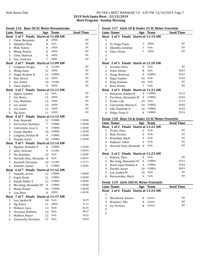# York Swim Club HY-TEK's MEET MANAGER 7.0 - 4:07 PM 12/10/2019 Page 7 **2019 York Santa Meet - 12/15/2019 Meet Program - Sunday Morning**

| Event 116 Boys 50 SC Meter Breaststroke |                                       |    |                    |                  |  |
|-----------------------------------------|---------------------------------------|----|--------------------|------------------|--|
|                                         | Lane Name                             |    | Age Team           | <b>Seed Time</b> |  |
|                                         | Heat 1 of 7 Finals                    |    | Starts at 11:08 AM |                  |  |
| 1                                       | Chow, Benjamin                        | 8  | <b>APEX</b>        | NT               |  |
| 2                                       | Akpabio, Elias                        | 8  | York               | NT               |  |
| 3                                       | Mok, Yannis                           | 9  | <b>APEX</b>        | NT               |  |
| 4                                       | Wong, Peyton                          | 8  | <b>APEX</b>        | NT               |  |
| 5                                       | Chan, Hadrian                         | 8  | <b>APEX</b>        | NT               |  |
| 6                                       | Yao, Cameron                          | 7  | <b>NEW</b>         | NT               |  |
|                                         | Heat 2 of 7 Finals Starts at 11:09 AM |    |                    |                  |  |
| 1                                       | Golygina, Sergey                      | 9  | Cricket            | NT               |  |
| $\overline{c}$                          | Wong, Isaac                           | 11 | <b>APEX</b>        | NT               |  |
| 3                                       | Singh, Krishan K                      | 11 | COBRA              | NT               |  |
| 4                                       | Bao, Henry                            | 11 | <b>APEX</b>        | NT               |  |
| 5                                       | Siu, Austin                           | 10 | Cricket            | NΤ               |  |
| 6                                       | Chan, Jayden                          | 9  | <b>APEX</b>        | NT               |  |
|                                         | Heat 3 of 7 Finals Starts at 11:11 AM |    |                    |                  |  |
| 1                                       | Agaba, Lynden                         | 11 | York               | NT               |  |
| 2                                       | Sin, Bosco                            | 11 | <b>APEX</b>        | NT               |  |
| 3                                       | Cho, Matthew                          | 14 | <b>APEX</b>        | NT               |  |
| 4                                       | Lin, Aaron                            | 12 | <b>APEX</b>        | NT               |  |
| 5                                       | Lai, Curtis                           | 11 | <b>APEX</b>        | NT               |  |
| 6                                       | Ng, Isaac                             | 11 | <b>APEX</b>        | NT               |  |
|                                         | Heat 4 of 7 Finals Starts at 11:12 AM |    |                    |                  |  |
| 1                                       | Soni, Reyansh                         | 11 | COBRA              | 1:30.00          |  |
| 2                                       | Ferricchio, Nicholas                  | 7  | COBRA              | 1:30.00          |  |
| 3                                       | Cutruzzola, Luca G                    | 9  | COBRA              | 1:20.00          |  |
| 4                                       | Sirpal, Shailan                       | 10 | COBRA              | 1:20.00          |  |
| 5                                       | Langlois, Nathan M                    | 9  | COBRA              | 1:30.00          |  |
| 6                                       | Daudia, Aarav                         | 10 | COBRA              | 1:30.00          |  |
|                                         | Heat 5 of 7 Finals Starts at 11:14 AM |    |                    |                  |  |
| $\mathbf 1$                             | Nguyen, Brendon P                     | 8  | COBRA              | 1:20.00          |  |
| 2                                       | Jatar, Armaan                         | 9  | Cricket            | 1:09.69          |  |
| 3                                       | Ho, Brandon                           | 12 | York               | 1:05.80          |  |
| 4                                       | Hurtado Diaz, Alexande 8              |    | York               | 1:06.07          |  |
| 5                                       | Karstoff, Christian                   | 10 | Cricket            | 1:13.71          |  |
| 6                                       | Awasthi, Aaron                        | 9  | COBRA              | 1:20.00          |  |
|                                         | Heat 6 of 7 Finals Starts at 11:16 AM |    |                    |                  |  |
|                                         | 1 Awasthi, Arnav 12 COBRA             |    |                    | 1:00.00          |  |
| 2                                       | Goyal, Krish                          | 12 | COBRA              | 1:00.00          |  |
| 3                                       | Kundi, Nikbir S                       | 12 | COBRA              | 1:00.00          |  |
| 4                                       | Mu-Song, Alexander W                  | 9  | COBRA              | 1:00.00          |  |
| 5                                       | Mann, Ronak                           | 10 | COBRA              | 1:00.00          |  |
| 6                                       | Lau, Enzo                             | 8  | APEX               | 1:03.90          |  |
| <b>Heat</b>                             | 7 of 7 Finals Starts at 11:17 AM      |    |                    |                  |  |
| 1                                       | Lee, Jayden M                         | 10 | York               | 56.79            |  |
| $\overline{c}$                          | Ng, Kaleo                             | 11 | <b>APEX</b>        | 51.11            |  |
| 3                                       | Wallace, Luca                         | 13 | York               | 42.55            |  |
| 4                                       | Torrejon, Mathew                      | 13 | York               | 48.27            |  |
| 5                                       | Malikov, Royce                        | 12 | York<br>York       | 54.32            |  |
| 6                                       | Gencarelli, Christian                 | 11 |                    | 58.54            |  |

# Event 117 Girls 10 & Under 25 SC Meter Freestyle

|                | <b>Lane Name</b>                                |                | Age Team    | <b>Seed Time</b> |  |  |
|----------------|-------------------------------------------------|----------------|-------------|------------------|--|--|
|                | Heat 1 of 3 Finals Starts at 11:19 AM           |                |             |                  |  |  |
| 1              |                                                 |                |             |                  |  |  |
| 2              | Ye, Paige Peiyu                                 | 7              | APEX        | NΤ               |  |  |
| 3              | Akpabio, Catalina                               | $\overline{7}$ | York        | NT               |  |  |
| 4              | Chan, Venus                                     | 7              | <b>APEX</b> | NT               |  |  |
| 5              |                                                 |                |             |                  |  |  |
| 6              |                                                 |                |             |                  |  |  |
|                | Heat 2 of 3 Finals Starts at 11:20 AM           |                |             |                  |  |  |
| 1              | Serzane, Hera                                   | 9              | York        | NT               |  |  |
| 2              | Sotto, Emmy                                     | 8              | York        | 38.69            |  |  |
| 3              | Hong, Shannon                                   | 9              | COBRA       | 29.47            |  |  |
| 4              | Rego, Sophia                                    | 10             | York        | 32.08            |  |  |
| 5              | King, Hannah                                    | 10             | York        | NT               |  |  |
| 6              | Best, Emma                                      | 7              | York        | NT               |  |  |
|                | Heat 3 of 3 Finals Starts at 11:21 AM           |                |             |                  |  |  |
| $\mathbf 1$    | Kunuram, Kaitlyn H                              | 9              | COBRA       | 26.21            |  |  |
| 2              | Purchase, Alexandra M                           | 9              | COBRA       | 24.66            |  |  |
| 3              | Prieto, Lily                                    | 10             | York        | 21.19            |  |  |
| 4              | Cutruzzola, Marina G                            | 10             | COBRA       | 24.06            |  |  |
| 5              | Gill, Claudette O                               | 10             | COBRA       | 24.82            |  |  |
| 6              | Volpe, Fiona O                                  | 9              | COBRA       | 29.34            |  |  |
|                |                                                 |                |             |                  |  |  |
|                | Event 118 Boys 10 & Under 25 SC Meter Freestyle |                |             |                  |  |  |
|                |                                                 |                |             |                  |  |  |
|                | Lane Name                                       |                | Age Team    | <b>Seed Time</b> |  |  |
|                | Heat 1 of 2 Finals Starts at 11:22 AM           |                |             |                  |  |  |
| $\mathbf{1}$   | Prieto, Enzo                                    | 5              | York        | NΤ               |  |  |
| $\overline{2}$ | Mak, Nicolas                                    | 9              | York        | NT               |  |  |
| 3              | Bronskyy, Mark                                  | 9              | York        | NT               |  |  |
| 4              | Rojkjaer, Asher                                 | 9              | York        | NT               |  |  |
| 5              | Hurtado Diaz, Alexande                          | 8              | York        | NT               |  |  |
| 6              |                                                 |                |             |                  |  |  |
|                | Heat 2 of 2 Finals Starts at 11:23 AM           |                |             |                  |  |  |
| 1              | Bohren, Theo                                    | 9              | York        | NT               |  |  |
| 2              | Mu-Song, Alexander W                            | 9              | COBRA       | 29.51            |  |  |
| 3              | Read-Lajos, Nathan A                            | 9              | COBRA       | 23.60            |  |  |
| 4              | Daudia, Aarav                                   | 10             | COBRA       | 28.03            |  |  |
| 5              | Lee, Jayden M                                   | 10             | York        | NT               |  |  |
| 6              | Berezenskyi, Mark                               | 9              | York        | NΤ               |  |  |
|                | Event 119 Girls 200 SC Meter Freestyle          |                |             |                  |  |  |
|                |                                                 |                | Age Team    |                  |  |  |
|                | Lane Name                                       |                |             | <b>Seed Time</b> |  |  |
| $\mathbf{1}$   | Heat 1 of 4 Finals Starts at 11:24 AM           |                |             |                  |  |  |
| 2              |                                                 | 8              | Gators      | NT               |  |  |
| 3              | Woodcock, Emelia<br>Brasseur, Ella              | 8              | Gators      | NT               |  |  |

4 Jia, Victoria 8 Gators NT